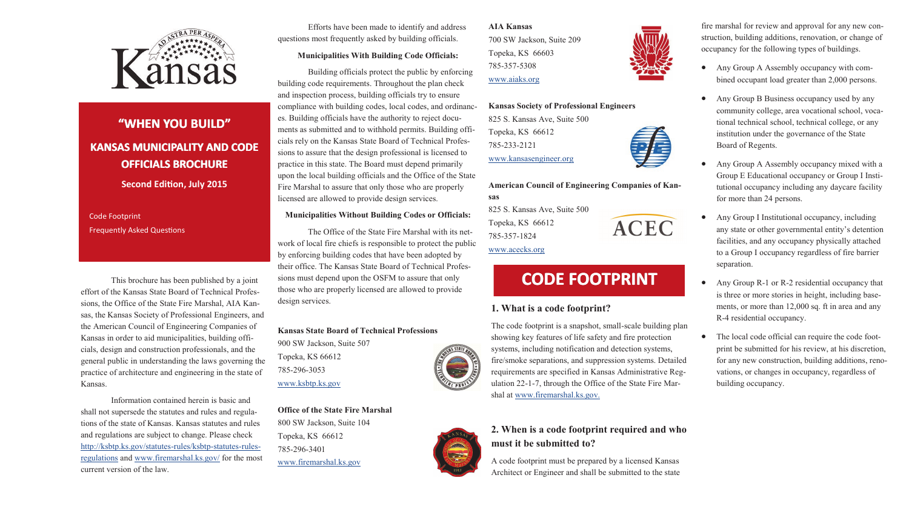

# **"WHEN YOU BUILD" KANSAS MUNICIPALITY AND CODE OFFICIALS BROCHURE Second Edition, July 2015**

Code Footprint Frequently Asked Questions

This brochure has been published by a joint effort of the Kansas State Board of Technical Professions, the Office of the State Fire Marshal, AIA Kansas, the Kansas Society of Professional Engineers, and the American Council of Engineering Companies of Kansas in order to aid municipalities, building officials, design and construction professionals, and the general public in understanding the laws governing the practice of architecture and engineering in the state of Kansas.

Information contained herein is basic and shall not supersede the statutes and rules and regulations of the state of Kansas. Kansas statutes and rules and regulations are subject to change. Please check [http://ksbtp.ks.gov/statutes](http://ksbtp.ks.gov/statutes-rules/ksbtp-statutes-rules-regulations)-rules/ksbtp-statutes-rules[regulations](http://ksbtp.ks.gov/statutes-rules/ksbtp-statutes-rules-regulations) and [www.firemarshal.ks.gov/](firemarshal.ks.gov/) for the most current version of the law.

Efforts have been made to identify and address questions most frequently asked by building officials.

#### **Municipalities With Building Code Officials:**

Building officials protect the public by enforcing building code requirements. Throughout the plan check and inspection process, building officials try to ensure compliance with building codes, local codes, and ordinances. Building officials have the authority to reject documents as submitted and to withhold permits. Building officials rely on the Kansas State Board of Technical Professions to assure that the design professional is licensed to practice in this state. The Board must depend primarily upon the local building officials and the Office of the State Fire Marshal to assure that only those who are properly licensed are allowed to provide design services.

#### **Municipalities Without Building Codes or Officials:**

The Office of the State Fire Marshal with its network of local fire chiefs is responsible to protect the public by enforcing building codes that have been adopted by their office. The Kansas State Board of Technical Professions must depend upon the OSFM to assure that only those who are properly licensed are allowed to provide design services.

#### **Kansas State Board of Technical Professions**

900 SW Jackson, Suite 507 Topeka, KS 66612 785-296-3053 [www.ksbtp.ks.gov](ksbtp.ks.gov)

**Office of the State Fire Marshal** 800 SW Jackson, Suite 104 Topeka, KS 66612 785-296-3401 [www.firemarshal.ks.gov](firemarshal.ks.gov)

**AIA Kansas** 700 SW Jackson, Suite 209 Topeka, KS 66603 785-357-5308 [www.aiaks.org](http://www.aiaks.org)

#### **Kansas Society of Professional Engineers**

825 S. Kansas Ave, Suite 500 Topeka, KS 66612 785-233-2121 [www.kansasengineer.org](http://www.kansasengineer.org)

## **American Council of Engineering Companies of Kansas**

825 S. Kansas Ave, Suite 500 Topeka, KS 66612 785-357-1824

## [www.acecks.org](http://www.acecks.org)

# **CODE FOOTPRINT**

### **1. What is a code footprint?**

The code footprint is a snapshot, small-scale building plan showing key features of life safety and fire protection systems, including notification and detection systems, fire/smoke separations, and suppression systems. Detailed requirements are specified in Kansas Administrative Regulation 22-1-7, through the Office of the State Fire Marshal at [www.firemarshal.ks.gov.](firemarshal.ks.gov)



A code footprint must be prepared by a licensed Kansas Architect or Engineer and shall be submitted to the state



ACEC

fire marshal for review and approval for any new construction, building additions, renovation, or change of occupancy for the following types of buildings.

- Any Group A Assembly occupancy with combined occupant load greater than 2,000 persons.
- Any Group B Business occupancy used by any community college, area vocational school, vocational technical school, technical college, or any institution under the governance of the State Board of Regents.
- Any Group A Assembly occupancy mixed with a Group E Educational occupancy or Group I Institutional occupancy including any daycare facility for more than 24 persons.
- Any Group I Institutional occupancy, including any state or other governmental entity's detention facilities, and any occupancy physically attached to a Group I occupancy regardless of fire barrier separation.
- Any Group R-1 or R-2 residential occupancy that is three or more stories in height, including basements, or more than 12,000 sq. ft in area and any R-4 residential occupancy.
- The local code official can require the code footprint be submitted for his review, at his discretion, for any new construction, building additions, renovations, or changes in occupancy, regardless of building occupancy.